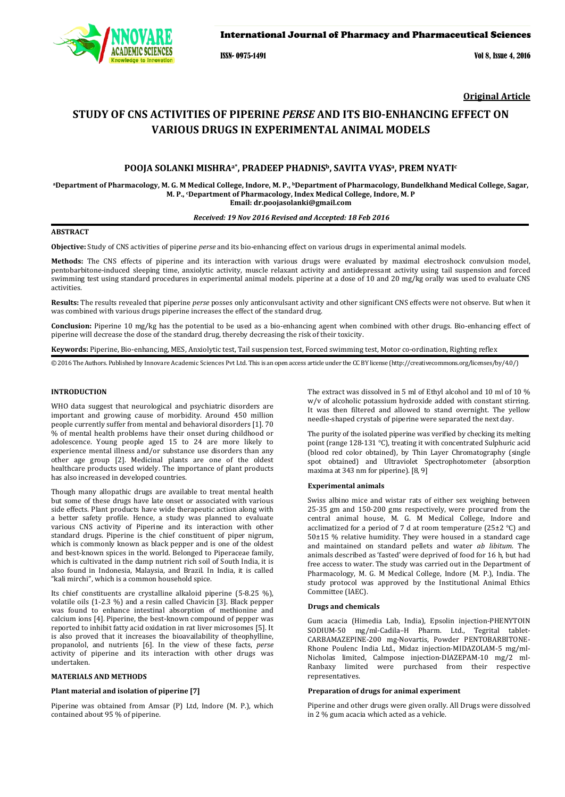

# International Journal of Pharmacy and Pharmaceutical Sciences

ISSN- 0975-1491 Vol 8, Issue 4, 2016

**Original Article**

# **STUDY OF CNS ACTIVITIES OF PIPERINE** *PERSE* **AND ITS BIO-ENHANCING EFFECT ON VARIOUS DRUGS IN EXPERIMENTAL ANIMAL MODELS**

# **POOJA SOLANKI MISHRAa\*, PRADEEP PHADNISb, SAVITA VYASa, PREM NYATIc**

**aDepartment of Pharmacology, M. G. M Medical College, Indore, M. P., bDepartment of Pharmacology, Bundelkhand Medical College, Sagar, M. P., c Department of Pharmacology, Index Medical College, Indore, M. P Email: dr.poojasolanki@gmail.com** 

#### *Received: 19 Nov 2016 Revised and Accepted: 18 Feb 2016*

# **ABSTRACT**

**Objective:** Study of CNS activities of piperine *perse* and its bio-enhancing effect on various drugs in experimental animal models.

**Methods:** The CNS effects of piperine and its interaction with various drugs were evaluated by maximal electroshock convulsion model, pentobarbitone-induced sleeping time, anxiolytic activity, muscle relaxant activity and antidepressant activity using tail suspension and forced swimming test using standard procedures in experimental animal models. piperine at a dose of 10 and 20 mg/kg orally was used to evaluate CNS activities.

**Results:** The results revealed that piperine *perse* posses only anticonvulsant activity and other significant CNS effects were not observe. But when it was combined with various drugs piperine increases the effect of the standard drug.

**Conclusion:** Piperine 10 mg/kg has the potential to be used as a bio-enhancing agent when combined with other drugs. Bio-enhancing effect of piperine will decrease the dose of the standard drug, thereby decreasing the risk of their toxicity.

**Keywords:** Piperine, Bio-enhancing, MES, Anxiolytic test, Tail suspension test, Forced swimming test, Motor co-ordination, Righting reflex

© 2016 The Authors. Published by Innovare Academic Sciences Pvt Ltd. This is an open access article under the CC BY license [\(http://creativecommons.org/licenses/by/4.0/\)](http://creativecommons.org/licenses/by/4.0/)

# **INTRODUCTION**

WHO data suggest that neurological and psychiatric disorders are important and growing cause of morbidity. Around 450 million people currently suffer from mental and behavioral disorders [1]. 70 % of mental health problems have their onset during childhood or adolescence. Young people aged 15 to 24 are more likely to experience mental illness and/or substance use disorders than any other age group [2]. Medicinal plants are one of the oldest healthcare products used widely. The importance of plant products has also increased in developed countries.

Though many allopathic drugs are available to treat mental health but some of these drugs have late onset or associated with various side effects. Plant products have wide therapeutic action along with a better safety profile. Hence, a study was planned to evaluate various CNS activity of Piperine and its interaction with other standard drugs. Piperine is the chief constituent of piper nigrum, which is commonly known as black pepper and is one of the oldest and best-known spices in the world. Belonged to Piperaceae family, which is cultivated in the damp nutrient rich soil of South India, it is also found in Indonesia, Malaysia, and Brazil. In India, it is called "kali mirchi", which is a common household spice.

Its chief constituents are crystalline alkaloid piperine (5-8.25 %), volatile oils (1-2.3 %) and a resin called Chavicin [3]. Black pepper was found to enhance intestinal absorption of methionine and calcium ions [4]. Piperine, the best-known compound of pepper was reported to inhibit fatty acid oxidation in rat liver microsomes [5]. It is also proved that it increases the bioavailability of theophylline, propanolol, and nutrients [6]. In the view of these facts, *perse* activity of piperine and its interaction with other drugs was undertaken.

#### **MATERIALS AND METHODS**

### **Plant material and isolation of piperine [7]**

Piperine was obtained from Amsar (P) Ltd, Indore (M. P.), which contained about 95 % of piperine.

The extract was dissolved in 5 ml of Ethyl alcohol and 10 ml of 10 % w/v of alcoholic potassium hydroxide added with constant stirring. It was then filtered and allowed to stand overnight. The yellow needle-shaped crystals of piperine were separated the next day.

The purity of the isolated piperine was verified by checking its melting point (range 128-131 °C), treating it with concentrated Sulphuric acid (blood red color obtained), by Thin Layer Chromatography (single spot obtained) and Ultraviolet Spectrophotometer (absorption maxima at 343 nm for piperine). [8, 9]

#### **Experimental animals**

Swiss albino mice and wistar rats of either sex weighing between 25-35 gm and 150-200 gms respectively, were procured from the central animal house, M. G. M Medical College, Indore and acclimatized for a period of 7 d at room temperature (25±2 °C) and 50±15 % relative humidity. They were housed in a standard cage and maintained on standard pellets and water *ab libitum*. The animals described as 'fasted' were deprived of food for 16 h, but had free access to water. The study was carried out in the Department of Pharmacology, M. G. M Medical College, Indore (M. P.), India. The study protocol was approved by the Institutional Animal Ethics Committee (IAEC).

#### **Drugs and chemicals**

Gum acacia (Himedia Lab, India), Epsolin injection-PHENYTOIN SODIUM-50 mg/ml-Cadila–H Pharm. Ltd., Tegrital tablet-CARBAMAZEPINE-200 mg-Novartis, Powder PENTOBARBITONE-Rhone Poulenc India Ltd., Midaz injection-MIDAZOLAM-5 mg/ml-Nicholas limited, Calmpose injection-DIAZEPAM-10 mg/2 ml-Ranbaxy limited were purchased from their respective representatives.

#### **Preparation of drugs for animal experiment**

Piperine and other drugs were given orally. All Drugs were dissolved in 2 % gum acacia which acted as a vehicle.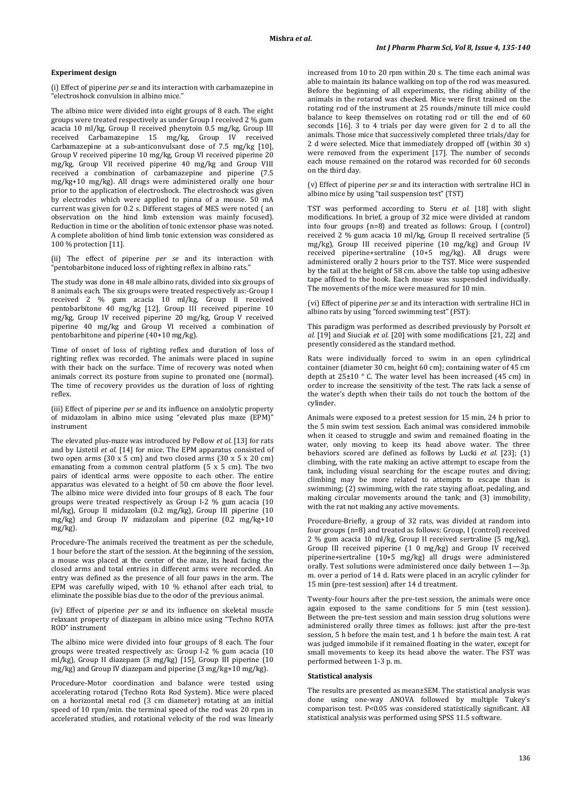#### **Experiment design**

(i) Effect of piperine *per se* and its interaction with carbamazepine in "electroshock convulsion in albino mice."

The albino mice were divided into eight groups of 8 each. The eight groups were treated respectively as under Group I received 2 % gum acacia 10 ml/kg, Group II received phenytoin 0.5 mg/kg, Group III received Carbamazepine 15 mg/kg, Group IV received Carbamazepine at a sub-anticonvulsant dose of 7.5 mg/kg [10], Group V received piperine 10 mg/kg, Group VI received piperine 20 mg/kg, Group VII received piperine 40 mg/kg and Group VIII received a combination of carbamazepine and piperine (7.5 mg/kg+10 mg/kg). All drugs were administered orally one hour prior to the application of electroshock. The electroshock was given by electrodes which were applied to pinna of a mouse. 50 mA current was given for 0.2 s. Different stages of MES were noted ( an observation on the hind limb extension was mainly focused). Reduction in time or the abolition of tonic extensor phase was noted. A complete abolition of hind limb tonic extension was considered as 100 % protection [11].

(ii) The effect of piperine *per se* and its interaction with "pentobarbitone induced loss of righting reflex in albino rats."

The study was done in 48 male albino rats, divided into six groups of 8 animals each. The six groups were treated respectively as:-Group I received 2 % gum acacia 10 ml/kg, Group II received pentobarbitone 40 mg/kg [12], Group III received piperine 10 mg/kg, Group IV received piperine 20 mg/kg, Group V received piperine 40 mg/kg and Group VI received a combination of pentobarbitone and piperine  $(40+10 \text{ mg/kg})$ .

Time of onset of loss of righting reflex and duration of loss of righting reflex was recorded. The animals were placed in supine with their back on the surface. Time of recovery was noted when animals correct its posture from supine to pronated one (normal). The time of recovery provides us the duration of loss of righting reflex.

(iii) Effect of piperine *per se* and its influence on anxiolytic property of midazolam in albino mice using "elevated plus maze (EPM)" instrument

The elevated plus-maze was introduced by Pellow *et al.* [13] for rats and by Listetil *et al.* [14] for mice. The EPM apparatus consisted of two open arms (30 x 5 cm) and two closed arms (30 x 5 x 20 cm) emanating from a common central platform (5 x 5 cm). The two pairs of identical arms were opposite to each other. The entire apparatus was elevated to a height of 50 cm above the floor level. The albino mice were divided into four groups of 8 each. The four groups were treated respectively as Group I-2 % gum acacia (10 ml/kg), Group II midazolam (0.2 mg/kg), Group III piperine (10 mg/kg) and Group IV midazolam and piperine (0.2 mg/kg+10 mg/kg).

Procedure-The animals received the treatment as per the schedule, 1 hour before the start of the session. At the beginning of the session, a mouse was placed at the center of the maze, its head facing the closed arms and total entries in different arms were recorded. An entry was defined as the presence of all four paws in the arm. The EPM was carefully wiped, with 10 % ethanol after each trial, to eliminate the possible bias due to the odor of the previous animal.

(iv) Effect of piperine *per se* and its influence on skeletal muscle relaxant property of diazepam in albino mice using "Techno ROTA ROD" instrument

The albino mice were divided into four groups of 8 each. The four groups were treated respectively as: Group I-2 % gum acacia (10 ml/kg), Group II diazepam (3 mg/kg) [15], Group III piperine (10 mg/kg) and Group IV diazepam and piperine (3 mg/kg+10 mg/kg).

Procedure-Motor coordination and balance were tested using accelerating rotarod (Techno Rota Rod System). Mice were placed on a horizontal metal rod (3 cm diameter) rotating at an initial speed of 10 rpm/min. the terminal speed of the rod was 20 rpm in accelerated studies, and rotational velocity of the rod was linearly

increased from 10 to 20 rpm within 20 s. The time each animal was able to maintain its balance walking on top of the rod was measured. Before the beginning of all experiments, the riding ability of the animals in the rotarod was checked. Mice were first trained on the rotating rod of the instrument at 25 rounds/minute till mice could balance to keep themselves on rotating rod or till the end of 60 seconds [16]. 3 to 4 trials per day were given for 2 d to all the animals. Those mice that successively completed three trials/day for 2 d were selected. Mice that immediately dropped off (within 30 s) were removed from the experiment [17]. The number of seconds each mouse remained on the rotarod was recorded for 60 seconds on the third day.

(v) Effect of piperine *per se* and its interaction with sertraline HCl in albino mice by using "tail suspension test" (TST)

TST was performed according to Steru *et al.* [18] with slight modifications. In brief, a group of 32 mice were divided at random into four groups (n=8) and treated as follows: Group, I (control) received 2 % gum acacia 10 ml/kg, Group II received sertraline (5 mg/kg), Group III received piperine (10 mg/kg) and Group IV received piperine+sertraline (10+5 mg/kg). All drugs were administered orally 2 hours prior to the TST. Mice were suspended by the tail at the height of 58 cm. above the table top using adhesive tape affixed to the hook. Each mouse was suspended individually. The movements of the mice were measured for 10 min.

(vi) Effect of piperine *per se* and its interaction with sertraline HCl in albino rats by using "forced swimming test" (FST):

This paradigm was performed as described previously by Porsolt *et al.* [19] and Siuciak *et al.* [20] with some modifications [21, 22] and presently considered as the standard method.

Rats were individually forced to swim in an open cylindrical container (diameter 30 cm, height 60 cm); containing water of 45 cm depth at 25±10 ° C. The water level has been increased (45 cm) in order to increase the sensitivity of the test. The rats lack a sense of the water's depth when their tails do not touch the bottom of the cylinder.

Animals were exposed to a pretest session for 15 min, 24 h prior to the 5 min swim test session. Each animal was considered immobile when it ceased to struggle and swim and remained floating in the water, only moving to keep its head above water. The three behaviors scored are defined as follows by Lucki *et al.* [23]; (1) climbing, with the rate making an active attempt to escape from the tank, including visual searching for the escape routes and diving; climbing may be more related to attempts to escape than is swimming; (2) swimming, with the rate staying afloat, pedaling, and making circular movements around the tank; and (3) immobility, with the rat not making any active movements.

Procedure-Briefly, a group of 32 rats, was divided at random into four groups (n=8) and treated as follows: Group, I (control) received 2 % gum acacia 10 ml/kg, Group II received sertraline (5 mg/kg), Group III received piperine (1 0 mg/kg) and Group IV received piperine+sertraline (10+5 mg/kg) all drugs were administered orally. Test solutions were administered once daily between 1—3p. m. over a period of 14 d. Rats were placed in an acrylic cylinder for 15 min (pre-test session) after 14 d treatment.

Twenty-four hours after the pre-test session, the animals were once again exposed to the same conditions for 5 min (test session). Between the pre-test session and main session drug solutions were administered orally three times as follows: just after the pre-test session, 5 h before the main test, and 1 h before the main test. A rat was judged immobile if it remained floating in the water, except for small movements to keep its head above the water. The FST was performed between 1-3 p. m.

#### **Statistical analysis**

The results are presented as mean±SEM. The statistical analysis was done using one-way ANOVA followed by multiple Tukey's comparison test. P<0.05 was considered statistically significant. All statistical analysis was performed using SPSS 11.5 software.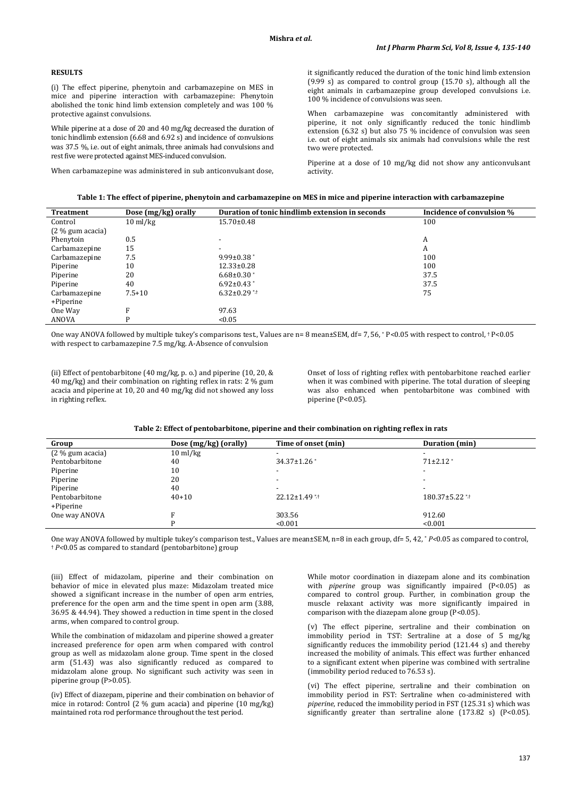# **RESULTS**

(i) The effect piperine, phenytoin and carbamazepine on MES in mice and piperine interaction with carbamazepine: Phenytoin abolished the tonic hind limb extension completely and was 100 % protective against convulsions.

While piperine at a dose of 20 and 40 mg/kg decreased the duration of tonic hindlimb extension (6.68 and 6.92 s) and incidence of convulsions was 37.5 %, i.e. out of eight animals, three animals had convulsions and rest five were protected against MES-induced convulsion.

When carbamazepine was administered in sub anticonvulsant dose,

it significantly reduced the duration of the tonic hind limb extension (9.99 s) as compared to control group (15.70 s), although all the eight animals in carbamazepine group developed convulsions i.e. 100 % incidence of convulsions was seen.

When carbamazepine was concomitantly administered with piperine, it not only significantly reduced the tonic hindlimb extension (6.32 s) but also 75 % incidence of convulsion was seen i.e. out of eight animals six animals had convulsions while the rest two were protected.

Piperine at a dose of 10 mg/kg did not show any anticonvulsant activity.

| Treatment          | Dose (mg/kg) orally | Duration of tonic hindlimb extension in seconds | Incidence of convulsion % |
|--------------------|---------------------|-------------------------------------------------|---------------------------|
| Control            | $10 \text{ ml/kg}$  | $15.70 \pm 0.48$                                | 100                       |
| $(2\%$ gum acacia) |                     |                                                 |                           |
| Phenytoin          | 0.5                 |                                                 | A                         |
| Carbamazepine      | 15                  | $\overline{\phantom{0}}$                        | A                         |
| Carbamazepine      | 7.5                 | $9.99 \pm 0.38$                                 | 100                       |
| Piperine           | 10                  | $12.33 \pm 0.28$                                | 100                       |
| Piperine           | 20                  | $6.68 \pm 0.30$ *                               | 37.5                      |
| Piperine           | 40                  | $6.92 \pm 0.43$ *                               | 37.5                      |
| Carbamazepine      | $7.5 + 10$          | $6.32 \pm 0.29$ **                              | 75                        |
| +Piperine          |                     |                                                 |                           |
| One Way            | F                   | 97.63                                           |                           |
| ANOVA              | P                   | < 0.05                                          |                           |

One way ANOVA followed by multiple tukey's comparisons test., Values are n= 8 mean±SEM, df= 7, 56, \* P<0.05 with respect to control, † P<0.05 with respect to carbamazepine 7.5 mg/kg. A-Absence of convulsion

(ii) Effect of pentobarbitone (40 mg/kg, p. o.) and piperine (10, 20, & 40 mg/kg) and their combination on righting reflex in rats: 2 % gum acacia and piperine at 10, 20 and 40 mg/kg did not showed any loss in righting reflex.

Onset of loss of righting reflex with pentobarbitone reached earlier when it was combined with piperine. The total duration of sleeping was also enhanced when pentobarbitone was combined with piperine (P<0.05).

| Group              | Dose (mg/kg) (orally) | Time of onset (min)      | <b>Duration</b> (min)    |
|--------------------|-----------------------|--------------------------|--------------------------|
| $(2\%$ gum acacia) | $10 \text{ ml/kg}$    | $\overline{\phantom{a}}$ |                          |
| Pentobarbitone     | 40                    | $34.37 \pm 1.26$         | $71\pm2.12$ *            |
| Piperine           | 10                    | $\overline{\phantom{a}}$ | $\overline{\phantom{0}}$ |
| Piperine           | 20                    | $\overline{\phantom{0}}$ |                          |
| Piperine           | 40                    | $\overline{\phantom{a}}$ |                          |
| Pentobarbitone     | $40 + 10$             | $22.12 \pm 1.49$ */t     | $180.37 \pm 5.22$ **     |
| +Piperine          |                       |                          |                          |
| One way ANOVA      |                       | 303.56                   | 912.60                   |
|                    |                       | < 0.001                  | < 0.001                  |

One way ANOVA followed by multiple tukey's comparison test., Values are mean±SEM, n=8 in each group, df= 5, 42, \* *P<*0.05 as compared to control, † *P<*0.05 as compared to standard (pentobarbitone) group

(iii) Effect of midazolam, piperine and their combination on behavior of mice in elevated plus maze: Midazolam treated mice showed a significant increase in the number of open arm entries, preference for the open arm and the time spent in open arm (3.88, 36.95 & 44.94). They showed a reduction in time spent in the closed arms, when compared to control group.

While the combination of midazolam and piperine showed a greater increased preference for open arm when compared with control group as well as midazolam alone group. Time spent in the closed arm (51.43) was also significantly reduced as compared to midazolam alone group. No significant such activity was seen in piperine group (P>0.05).

(iv) Effect of diazepam, piperine and their combination on behavior of mice in rotarod: Control (2 % gum acacia) and piperine (10 mg/kg) maintained rota rod performance throughout the test period.

While motor coordination in diazepam alone and its combination with *piperine* group was significantly impaired (P<0.05) as compared to control group. Further, in combination group the muscle relaxant activity was more significantly impaired in comparison with the diazepam alone group (P<0.05).

(v) The effect piperine, sertraline and their combination on immobility period in TST: Sertraline at a dose of 5 mg/kg significantly reduces the immobility period (121.44 s) and thereby increased the mobility of animals. This effect was further enhanced to a significant extent when piperine was combined with sertraline (immobility period reduced to 76.53 s).

(vi) The effect piperine, sertraline and their combination on immobility period in FST: Sertraline when co-administered with *piperine*, reduced the immobility period in FST (125.31 s) which was significantly greater than sertraline alone  $(173.82 \text{ s})$   $(P<0.05)$ .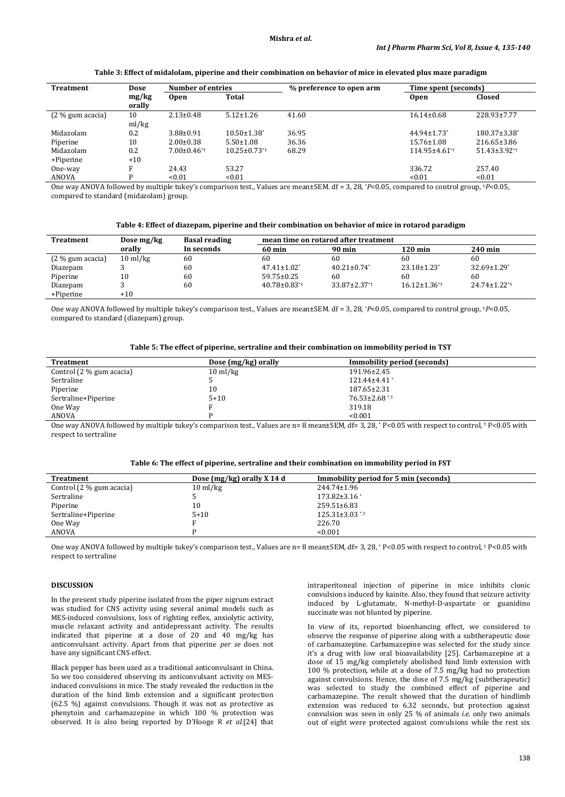| <b>Treatment</b>   | Dose            | <b>Number of entries</b>      |                                | % preference to open arm | Time spent (seconds)          |                                |
|--------------------|-----------------|-------------------------------|--------------------------------|--------------------------|-------------------------------|--------------------------------|
|                    | mg/kg<br>orally | <b>Open</b>                   | Total                          |                          | <b>Open</b>                   | Closed                         |
| $(2\%$ gum acacia) | 10              | $2.13 \pm 0.48$               | $5.12 \pm 1.26$                | 41.60                    | $16.14 \pm 0.68$              | 228.93±7.77                    |
|                    | ml/kg           |                               |                                |                          |                               |                                |
| Midazolam          | 0.2             | $3.88 \pm 0.91$               | $10.50 \pm 1.38^*$             | 36.95                    | $44.94 \pm 1.73$ <sup>*</sup> | $180.37 \pm 3.38$ <sup>*</sup> |
| Piperine           | 10              | $2.00 \pm 0.38$               | $5.50 \pm 1.08$                | 36.36                    | $15.76 \pm 1.08$              | $216.65 \pm 3.86$              |
| Midazolam          | 0.2             | $7.00 \pm 0.46$ <sup>*†</sup> | $10.25 \pm 0.73$ <sup>*†</sup> | 68.29                    | 114.95±4.61*+                 | $51.43 \pm 3.92$ <sup>**</sup> |
| +Piperine          | $+10$           |                               |                                |                          |                               |                                |
| One-way            | п               | 24.43                         | 53.27                          |                          | 336.72                        | 257.40                         |
| ANOVA              | D               | < 0.01                        | < 0.01                         |                          | < 0.01                        | < 0.01                         |

**Table 3: Effect of midalolam, piperine and their combination on behavior of mice in elevated plus maze paradigm**

One way ANOVA followed by multiple tukey's comparison test., Values are mean±SEM. df = 3, 28, \**P*<0.05, compared to control group, †*P*<0.05, compared to standard (midazolam) group.

| Table 4: Effect of diazepam, piperine and their combination on behavior of mice in rotarod paradigm |  |  |  |
|-----------------------------------------------------------------------------------------------------|--|--|--|
|                                                                                                     |  |  |  |

| <b>Treatment</b>   | Dose mg/kg         | <b>Basal reading</b> | mean time on rotarod after treatment |                                |                                |                                |
|--------------------|--------------------|----------------------|--------------------------------------|--------------------------------|--------------------------------|--------------------------------|
|                    | orally             | In seconds           | $60 \text{ min}$                     | <b>90 min</b>                  | $120 \,\mathrm{min}$           | 240 min                        |
| $(2\%$ gum acacia) | $10 \text{ ml/kg}$ | 60                   | 60                                   | 60                             | 60                             | 60                             |
| Diazepam           |                    | 60                   | $47.41 \pm 1.02^*$                   | $40.21 \pm 0.74$ <sup>*</sup>  | $23.18 \pm 1.23$ <sup>*</sup>  | $32.69 \pm 1.29$ <sup>*</sup>  |
| Piperine           | 10                 | 60                   | $59.75 \pm 0.25$                     | 60                             | 60                             | 60                             |
| Diazepam           |                    | 60                   | $40.78 \pm 0.83$ <sup>*</sup>        | $33.87 \pm 2.37$ <sup>**</sup> | $16.12 \pm 1.36$ <sup>*+</sup> | $24.74 \pm 1.22$ <sup>*†</sup> |
| +Piperine          | $+10$              |                      |                                      |                                |                                |                                |

One way ANOVA followed by multiple tukey's comparison test., Values are mean±SEM. df = 3, 28, \**P*<0.05, compared to control group, †*P*<0.05, compared to standard (diazepam) group.

**Table 5: The effect of piperine, sertraline and their combination on immobility period in TST**

| Treatment                  | Dose (mg/kg) orally | Immobility period (seconds) |
|----------------------------|---------------------|-----------------------------|
| Control $(2\%$ gum acacia) | $10 \text{ ml/kg}$  | 191.96±2.45                 |
| Sertraline                 |                     | $121.44 \pm 4.41$           |
| Piperine                   | 10                  | $187.65 \pm 2.31$           |
| Sertraline+Piperine        | $5 + 10$            | $76.53 \pm 2.68$ * $\pm$    |
| One Way                    |                     | 319.18                      |
| ANOVA                      |                     | < 0.001                     |

One way ANOVA followed by multiple tukey's comparison test., Values are n= 8 mean±SEM, df= 3, 28, \* P<0.05 with respect to control, † P<0.05 with respect to sertraline

| Treatment                  | Dose (mg/kg) orally X 14 d | Immobility period for 5 min (seconds) |  |
|----------------------------|----------------------------|---------------------------------------|--|
| Control $(2\%$ gum acacia) | $10 \text{ ml/kg}$         | 244.74±1.96                           |  |
| Sertraline                 |                            | $173.82 \pm 3.16$ <sup>*</sup>        |  |
| Piperine                   | 10                         | $259.51 \pm 6.83$                     |  |
| Sertraline+Piperine        | $5 + 10$                   | $125.31 \pm 3.03$ **                  |  |
| One Way                    |                            | 226.70                                |  |
| ANOVA                      |                            | < 0.001                               |  |
|                            |                            |                                       |  |

One way ANOVA followed by multiple tukey's comparison test., Values are n= 8 mean±SEM, df= 3, 28, \* P<0.05 with respect to control, † P<0.05 with respect to sertraline

# **DISCUSSION**

In the present study piperine isolated from the piper nigrum extract was studied for CNS activity using several animal models such as MES-induced convulsions, loss of righting reflex, anxiolytic activity, muscle relaxant activity and antidepressant activity. The results indicated that piperine at a dose of 20 and 40 mg/kg has anticonvulsant activity. Apart from that piperine *per se* does not have any significant CNS effect.

Black pepper has been used as a traditional anticonvulsant in China. So we too considered observing its anticonvulsant activity on MESinduced convulsions in mice. The study revealed the reduction in the duration of the hind limb extension and a significant protection (62.5 %) against convulsions. Though it was not as protective as phenytoin and carbamazepine in which 100 % protection was observed. It is also being reported by D'Hooge R *et al.*[24] that

intraperitoneal injection of piperine in mice inhibits clonic convulsions induced by kainite. Also, they found that seizure activity induced by L-glutamate, N-methyl-D-aspartate or guanidino succinate was not blunted by piperine.

In view of its, reported bioenhancing effect, we considered to observe the response of piperine along with a subtherapeutic dose of carbamazepine. Carbamazepine was selected for the study since it's a drug with low oral bioavailability [25]. Carbamazepine at a dose of 15 mg/kg completely abolished hind limb extension with 100 % protection, while at a dose of 7.5 mg/kg had no protection against convulsions. Hence, the dose of 7.5 mg/kg (subtherapeutic) was selected to study the combined effect of piperine and carbamazepine. The result showed that the duration of hindlimb extension was reduced to 6.32 seconds, but protection against convulsion was seen in only 25 % of animals *i.e.* only two animals out of eight were protected against convulsions while the rest six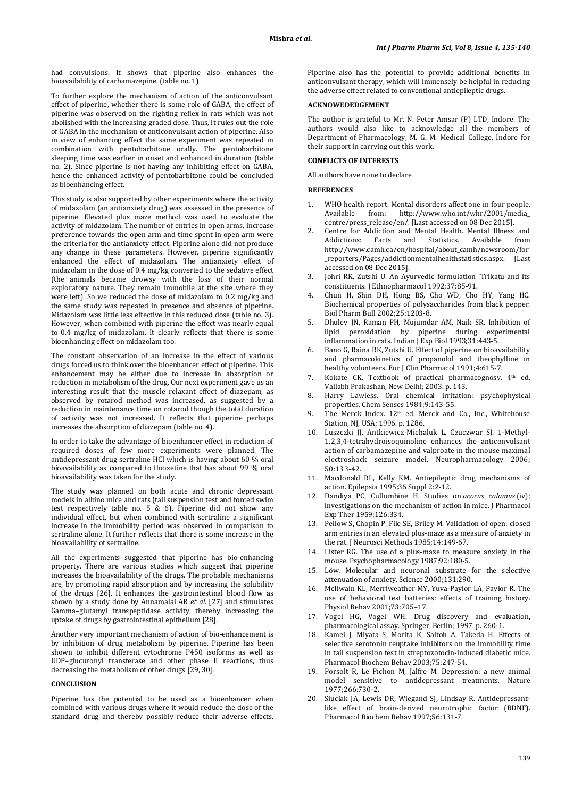had convulsions. It shows that piperine also enhances the bioavailability of carbamazepine. (table no. 1)

To further explore the mechanism of action of the anticonvulsant effect of piperine, whether there is some role of GABA, the effect of piperine was observed on the righting reflex in rats which was not abolished with the increasing graded dose. Thus, it rules out the role of GABA in the mechanism of anticonvulsant action of piperine. Also in view of enhancing effect the same experiment was repeated in combination with pentobarbitone orally. The pentobarbitone sleeping time was earlier in onset and enhanced in duration (table no. 2). Since piperine is not having any inhibiting effect on GABA, hence the enhanced activity of pentobarbitone could be concluded as bioenhancing effect.

This study is also supported by other experiments where the activity of midazolam (an antianxiety drug) was assessed in the presence of piperine. Elevated plus maze method was used to evaluate the activity of midazolam. The number of entries in open arms, increase preference towards the open arm and time spent in open arm were the criteria for the antianxiety effect. Piperine alone did not produce any change in these parameters. However, piperine significantly enhanced the effect of midazolam. The antianxiety effect of midazolam in the dose of 0.4 mg/kg converted to the sedative effect (the animals became drowsy with the loss of their normal exploratory nature. They remain immobile at the site where they were left). So we reduced the dose of midazolam to 0.2 mg/kg and the same study was repeated in presence and absence of piperine. Midazolam was little less effective in this reduced dose (table no. 3). However, when combined with piperine the effect was nearly equal to 0.4 mg/kg of midazolam. It clearly reflects that there is some bioenhancing effect on midazolam too.

The constant observation of an increase in the effect of various drugs forced us to think over the bioenhancer effect of piperine. This enhancement may be either due to increase in absorption or reduction in metabolism of the drug. Our next experiment gave us an interesting result that the muscle relaxant effect of diazepam, as observed by rotarod method was increased, as suggested by a reduction in maintenance time on rotarod though the total duration of activity was not increased. It reflects that piperine perhaps increases the absorption of diazepam (table no. 4).

In order to take the advantage of bioenhancer effect in reduction of required doses of few more experiments were planned. The antidepressant drug sertraline HCl which is having about 60 % oral bioavailability as compared to fluoxetine that has about 99 % oral bioavailability was taken for the study.

The study was planned on both acute and chronic depressant models in albino mice and rats (tail suspension test and forced swim test respectively table no. 5 & 6). Piperine did not show any individual effect, but when combined with sertraline a significant increase in the immobility period was observed in comparison to sertraline alone. It further reflects that there is some increase in the bioavailability of sertraline.

All the experiments suggested that piperine has bio-enhancing property. There are various studies which suggest that piperine increases the bioavailability of the drugs. The probable mechanisms are, by promoting rapid absorption and by increasing the solubility of the drugs [26]. It enhances the gastrointestinal blood flow as shown by a study done by Annamalai AR *et al.* [27] and stimulates Gamma–glutamyl transpeptidase activity, thereby increasing the uptake of drugs by gastrointestinal epithelium [28].

Another very important mechanism of action of bio-enhancement is by inhibition of drug metabolism by piperine. Piperine has been shown to inhibit different cytochrome P450 isoforms as well as UDP–glucuronyl transferase and other phase II reactions, thus decreasing the metabolism of other drugs [29, 30].

# **CONCLUSION**

Piperine has the potential to be used as a bioenhancer when combined with various drugs where it would reduce the dose of the standard drug and thereby possibly reduce their adverse effects.

Piperine also has the potential to provide additional benefits in anticonvulsant therapy, which will immensely be helpful in reducing the adverse effect related to conventional antiepileptic drugs.

#### **ACKNOWEDEDGEMENT**

The author is grateful to Mr. N. Peter Amsar (P) LTD, Indore. The authors would also like to acknowledge all the members of Department of Pharmacology, M. G. M. Medical College, Indore for their support in carrying out this work.

# **CONFLICTS OF INTERESTS**

All authors have none to declare

#### **REFERENCES**

- 1. WHO health report. Mental disorders affect one in four people.<br>Available from: http://www.who.int/whr/2001/media http://www.who.int/whr/2001/media\_ centre/press\_release/en/. [Last accessed on 08 Dec 2015].
- Centre for Addiction and Mental Health. Mental Illness and Addictions: Facts and Statistics. Available from Addictions: Facts and Statistics. Available from http://www.camh.ca/en/hospital/about\_camh/newsroom/for \_reporters/Pages/addictionmentalhealthstatistics.aspx. [Last accessed on 08 Dec 2015].
- 3. Johri RK, Zutshi U. An Ayurvedic formulation 'Trikatu and its constituents. J Ethnopharmacol 1992;37:85-91.
- 4. Chun H, Shin DH, Hong BS, Cho WD, Cho HY, Yang HC. Biochemical properties of polysaccharides from black pepper. Biol Pharm Bull 2002;25:1203-8.
- 5. Dhuley JN, Raman PH, Mujumdar AM, Naik SR. Inhibition of lipid peroxidation by piperine during experimental inflammation in rats. Indian J Exp Biol 1993;31:443-5.
- 6. Bano G, Raina RK, Zutshi U*.* Effect of piperine on bioavailability and pharmacokinetics of propanolol and theophylline in healthy volunteers. Eur J Clin Pharmacol 1991;4:615-7.
- 7. Kokate CK. Textbook of practical pharmacognosy. 4th ed. Vallabh Prakashan, New Delhi; 2003. p. 143.
- 8. Harry Lawless. Oral chemical irritation: psychophysical properties. Chem Senses 1984;9:143-55.
- 9. The Merck Index. 12th ed. Merck and Co., Inc., Whitehouse Station, NJ, USA; 1996. p. 1286.
- 10. Luszczki JJ, Antkiewicz-Michaluk L, Czuczwar SJ. 1-Methyl-1,2,3,4-tetrahydroisoquinoline enhances the anticonvulsant action of carbamazepine and valproate in the mouse maximal electroshock seizure model. Neuropharmacology 2006; 50:133-42.
- 11. Macdonald RL, Kelly KM. Antiepileptic drug mechanisms of action. Epilepsia 1995;36 Suppl 2:2-12.
- 12. Dandiya PC, Cullumbine H. Studies on *acorus calamus* (iv): investigations on the mechanism of action in mice. J Pharmacol Exp Ther 1959;126:334.
- 13. Pellow S, Chopin P, File SE, Briley M. Validation of open: closed arm entries in an elevated plus-maze as a measure of anxiety in the rat. J Neurosci Methods 1985;14:149-67.
- 14. Lister RG. The use of a plus-maze to measure anxiety in the mouse. Psychopharmacology 1987;92:180-5.
- 15. Löw*.* Molecular and neuronal substrate for the selective attenuation of anxiety. Science 2000;131:290.
- 16. McIlwain KL, Merriweather MY, Yuva-Paylor LA, Paylor R. The use of behavioral test batteries: effects of training history. Physiol Behav 2001;73:705–17.
- 17. Vogel HG, Vogel WH. Drug discovery and evaluation, pharmacological assay. Springer, Berlin; 1997. p. 260-1.
- 18. Kamei J, Miyata S, Morita K, Saitoh A, Takeda H. Effects of selective serotonin reuptake inhibitors on the immobility time in tail suspension test in streptozotocin-induced diabetic mice. Pharmacol Biochem Behav 2003;75:247-54.
- 19. Porsolt R, Le Pichon M, Jalfre M. Depression: a new animal model sensitive to antidepressant treatments. Nature 1977;266:730-2.
- Siuciak JA, Lewis DR, Wiegand SJ, Lindsay R. Antidepressantlike effect of brain-derived neurotrophic factor (BDNF). Pharmacol Biochem Behav 1997;56:131-7.